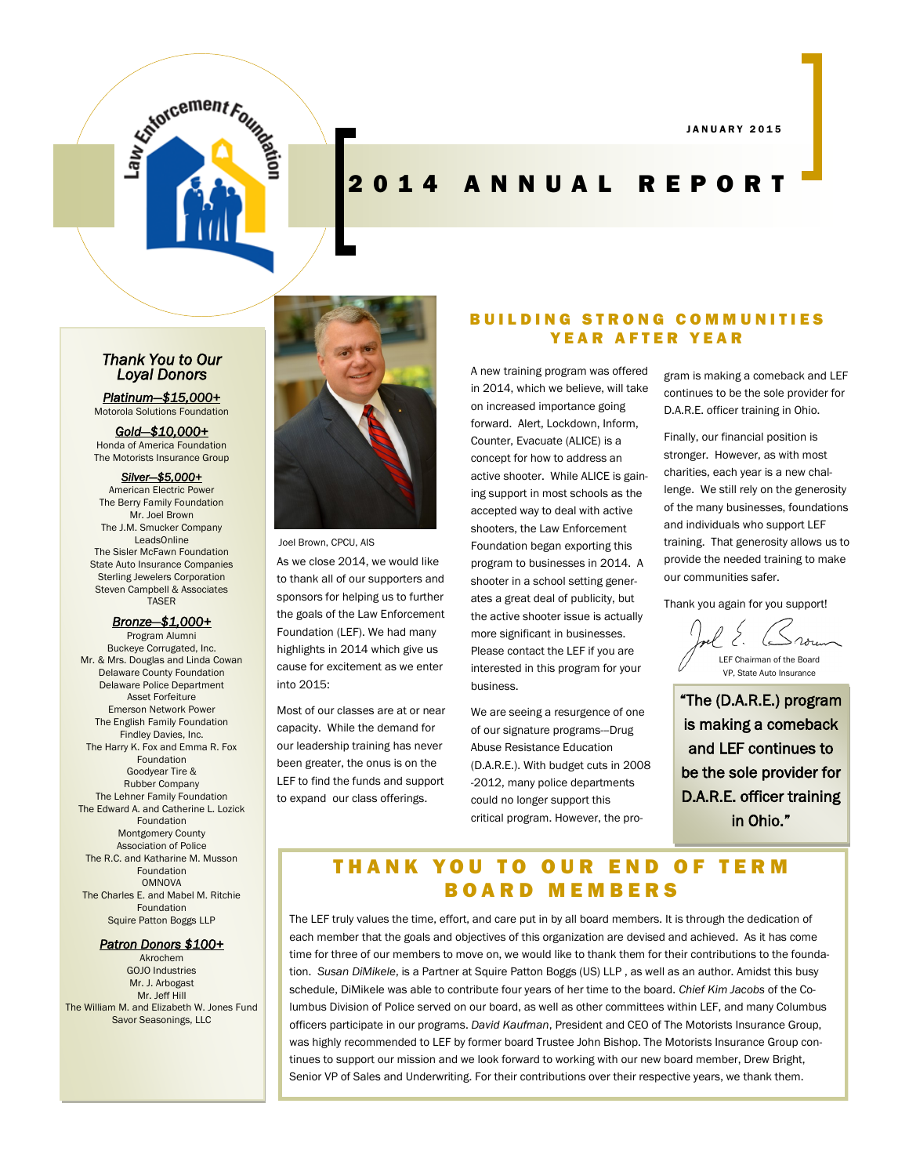J A N U A R Y 2 0 1 5

# **Explorcement Frame**

# 2 0 1 4 A N N U A L R E P O R T

#### *Thank You to Our Loyal Donors*

*Platinum—\$15,000+*  Motorola Solutions Foundation

*Gold—\$10,000+*  Honda of America Foundation The Motorists Insurance Group

#### *Silver—\$5,000+*

American Electric Power The Berry Family Foundation Mr. Joel Brown The J.M. Smucker Company LeadsOnline The Sisler McFawn Foundation State Auto Insurance Companies Sterling Jewelers Corporation Steven Campbell & Associates **TASER** 

#### *Bronze—\$1,000+*

Program Alumni Buckeye Corrugated, Inc. Mr. & Mrs. Douglas and Linda Cowan Delaware County Foundation Delaware Police Department Asset Forfeiture Emerson Network Power The English Family Foundation Findley Davies, Inc. The Harry K. Fox and Emma R. Fox Foundation Goodyear Tire & Rubber Company The Lehner Family Foundation The Edward A. and Catherine L. Lozick Foundation Montgomery County Association of Police The R.C. and Katharine M. Musson Foundation OMNOVA The Charles E. and Mabel M. Ritchie Foundation Squire Patton Boggs LLP

#### *Patron Donors \$100+*

Akrochem GOJO Industries Mr. J. Arbogast Mr. Jeff Hill The William M. and Elizabeth W. Jones Fund Savor Seasonings, LLC



Joel Brown, CPCU, AIS

As we close 2014, we would like to thank all of our supporters and sponsors for helping us to further the goals of the Law Enforcement Foundation (LEF). We had many highlights in 2014 which give us cause for excitement as we enter into 2015:

Most of our classes are at or near capacity. While the demand for our leadership training has never been greater, the onus is on the LEF to find the funds and support to expand our class offerings.

#### B U I L D I N G S T R O N G C O M M U N I T I E S YEAR AFTER YEAR

A new training program was offered in 2014, which we believe, will take on increased importance going forward. Alert, Lockdown, Inform, Counter, Evacuate (ALICE) is a concept for how to address an active shooter. While ALICE is gaining support in most schools as the accepted way to deal with active shooters, the Law Enforcement Foundation began exporting this program to businesses in 2014. A shooter in a school setting generates a great deal of publicity, but the active shooter issue is actually more significant in businesses. Please contact the LEF if you are interested in this program for your business.

We are seeing a resurgence of one of our signature programs---Drug Abuse Resistance Education (D.A.R.E.). With budget cuts in 2008 -2012, many police departments could no longer support this critical program. However, the program is making a comeback and LEF continues to be the sole provider for D.A.R.E. officer training in Ohio.

Finally, our financial position is stronger. However, as with most charities, each year is a new challenge. We still rely on the generosity of the many businesses, foundations and individuals who support LEF training. That generosity allows us to provide the needed training to make our communities safer.

Thank you again for you support!

LEF Chairman of the Board VP, State Auto Insurance

"The (D.A.R.E.) program is making a comeback and LEF continues to be the sole provider for D.A.R.E. officer training in Ohio."

#### THANK YOU TO OUR END OF TERM B O A R D M E M B E R S

The LEF truly values the time, effort, and care put in by all board members. It is through the dedication of each member that the goals and objectives of this organization are devised and achieved. As it has come time for three of our members to move on, we would like to thank them for their contributions to the foundation. *Susan DiMikele*, is a Partner at Squire Patton Boggs (US) LLP , as well as an author. Amidst this busy schedule, DiMikele was able to contribute four years of her time to the board. *Chief Kim Jacobs* of the Columbus Division of Police served on our board, as well as other committees within LEF, and many Columbus officers participate in our programs. *David Kaufman*, President and CEO of The Motorists Insurance Group, was highly recommended to LEF by former board Trustee John Bishop. The Motorists Insurance Group continues to support our mission and we look forward to working with our new board member, Drew Bright, Senior VP of Sales and Underwriting. For their contributions over their respective years, we thank them.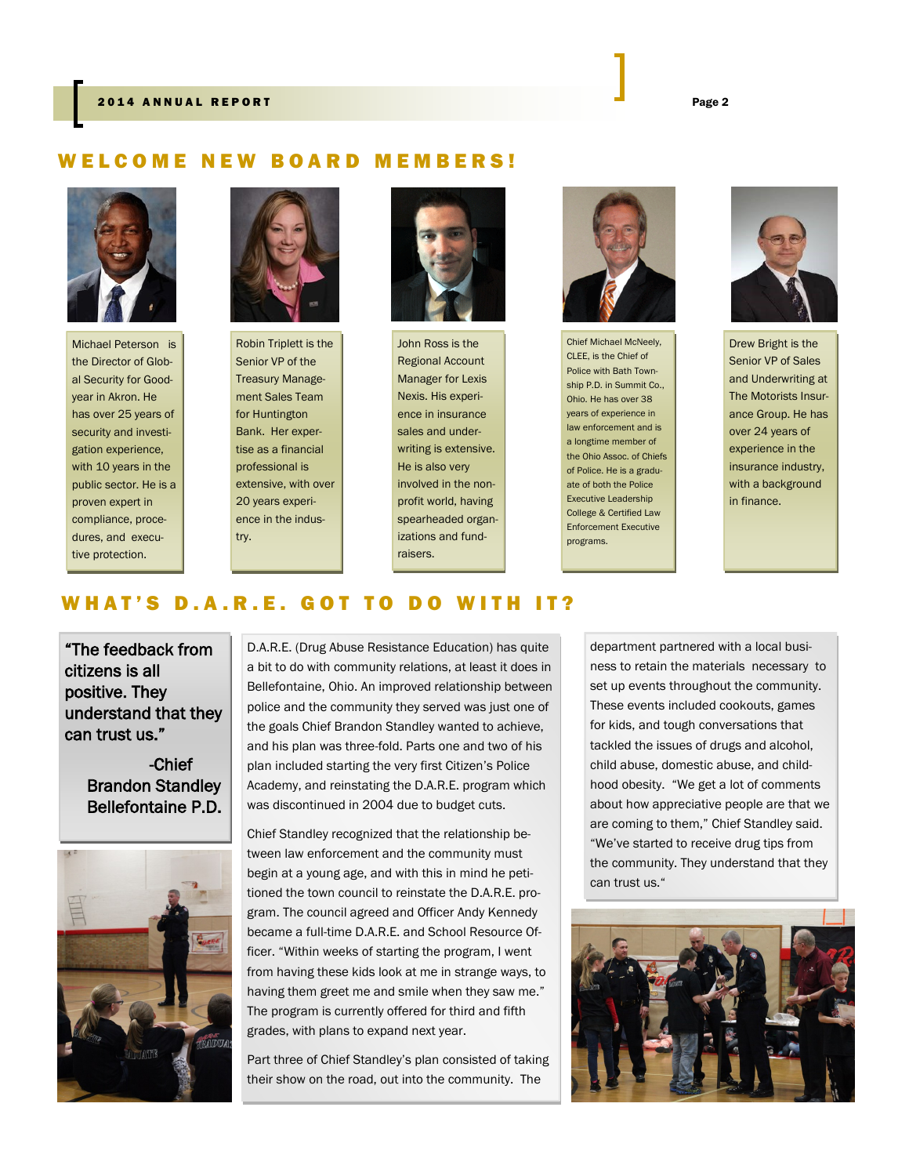#### ELCOME NEW BOARD MEMBERS!



Michael Peterson is the Director of Global Security for Goodyear in Akron. He has over 25 years of security and investigation experience, with 10 years in the public sector. He is a proven expert in compliance, procedures, and executive protection.



Robin Triplett is the Senior VP of the Treasury Management Sales Team for Huntington Bank. Her expertise as a financial professional is extensive, with over 20 years experience in the industry.



John Ross is the Regional Account Manager for Lexis Nexis. His experience in insurance sales and underwriting is extensive. He is also very involved in the nonprofit world, having spearheaded organizations and fundraisers.



Chief Michael McNeely, CLEE, is the Chief of Police with Bath Township P.D. in Summit Co., Ohio. He has over 38 years of experience in law enforcement and is a longtime member of the Ohio Assoc. of Chiefs of Police. He is a graduate of both the Police Executive Leadership College & Certified Law Enforcement Executive programs.



Drew Bright is the Senior VP of Sales and Underwriting at The Motorists Insurance Group. He has over 24 years of experience in the insurance industry, with a background in finance.

#### WHAT'S D.A.R.E. GOT TO DO WITH IT?

"The feedback from citizens is all positive. They understand that they can trust us."

> -Chief Brandon Standley Bellefontaine P.D.



D.A.R.E. (Drug Abuse Resistance Education) has quite a bit to do with community relations, at least it does in Bellefontaine, Ohio. An improved relationship between police and the community they served was just one of the goals Chief Brandon Standley wanted to achieve, and his plan was three-fold. Parts one and two of his plan included starting the very first Citizen's Police Academy, and reinstating the D.A.R.E. program which was discontinued in 2004 due to budget cuts.

Chief Standley recognized that the relationship between law enforcement and the community must begin at a young age, and with this in mind he petitioned the town council to reinstate the D.A.R.E. program. The council agreed and Officer Andy Kennedy became a full-time D.A.R.E. and School Resource Officer. "Within weeks of starting the program, I went from having these kids look at me in strange ways, to having them greet me and smile when they saw me." The program is currently offered for third and fifth grades, with plans to expand next year.

Part three of Chief Standley's plan consisted of taking their show on the road, out into the community. The

department partnered with a local business to retain the materials necessary to set up events throughout the community. These events included cookouts, games for kids, and tough conversations that tackled the issues of drugs and alcohol, child abuse, domestic abuse, and childhood obesity. "We get a lot of comments about how appreciative people are that we are coming to them," Chief Standley said. "We've started to receive drug tips from the community. They understand that they can trust us."

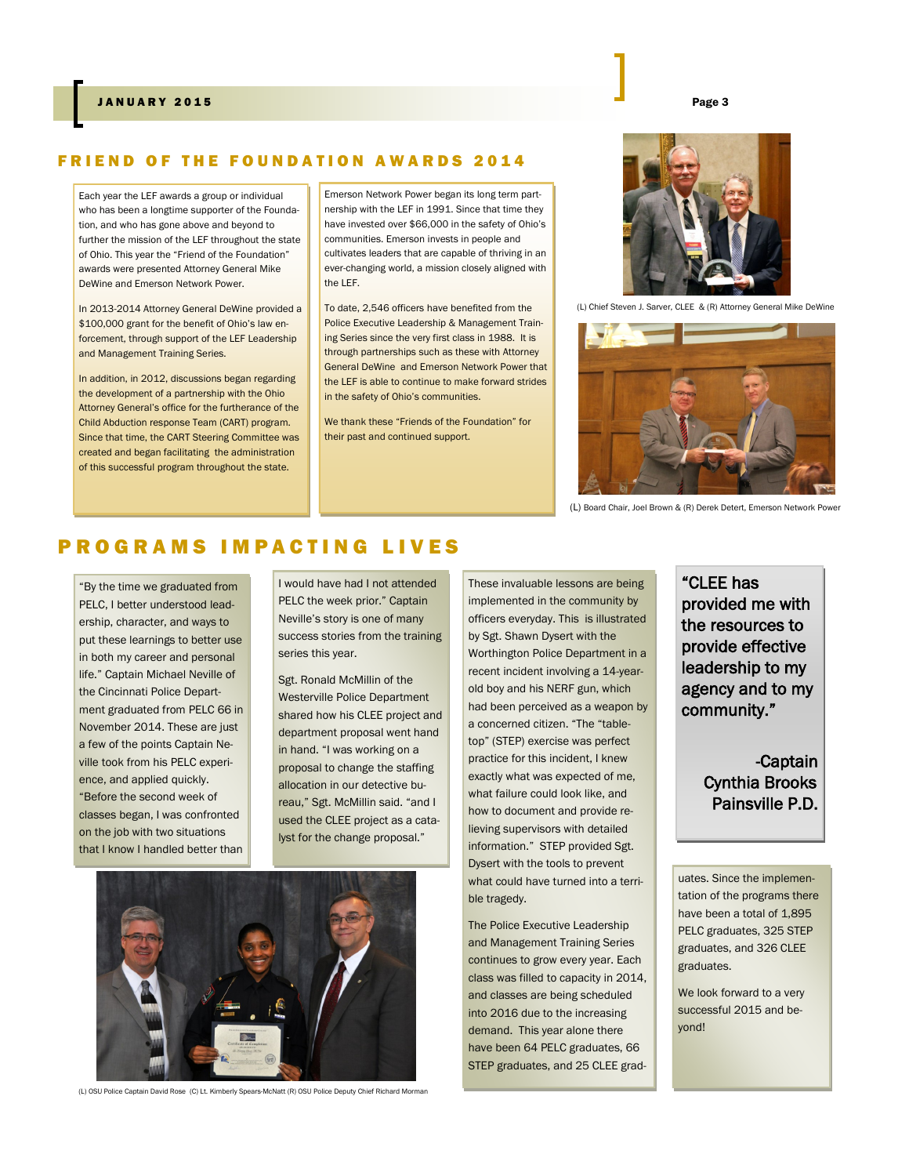#### FRIEND OF THE FOUNDATION AWARDS 2014

Each year the LEF awards a group or individual who has been a longtime supporter of the Foundation, and who has gone above and beyond to further the mission of the LEF throughout the state of Ohio. This year the "Friend of the Foundation" awards were presented Attorney General Mike DeWine and Emerson Network Power.

In 2013-2014 Attorney General DeWine provided a \$100,000 grant for the benefit of Ohio's law enforcement, through support of the LEF Leadership and Management Training Series.

In addition, in 2012, discussions began regarding the development of a partnership with the Ohio Attorney General's office for the furtherance of the Child Abduction response Team (CART) program. Since that time, the CART Steering Committee was created and began facilitating the administration of this successful program throughout the state.

Emerson Network Power began its long term partnership with the LEF in 1991. Since that time they have invested over \$66,000 in the safety of Ohio's communities. Emerson invests in people and cultivates leaders that are capable of thriving in an ever-changing world, a mission closely aligned with the LEF.

To date, 2,546 officers have benefited from the Police Executive Leadership & Management Training Series since the very first class in 1988. It is through partnerships such as these with Attorney General DeWine and Emerson Network Power that the LEF is able to continue to make forward strides in the safety of Ohio's communities.

We thank these "Friends of the Foundation" for their past and continued support.



(L) Chief Steven J. Sarver, CLEE & (R) Attorney General Mike DeWine



(L) Board Chair, Joel Brown & (R) Derek Detert, Emerson Network Power

#### P R O G R A M S I M P A C T I N G L I V E S

"By the time we graduated from PELC, I better understood leadership, character, and ways to put these learnings to better use in both my career and personal life." Captain Michael Neville of the Cincinnati Police Department graduated from PELC 66 in November 2014. These are just a few of the points Captain Neville took from his PELC experience, and applied quickly. "Before the second week of classes began, I was confronted on the job with two situations that I know I handled better than

I would have had I not attended PELC the week prior." Captain Neville's story is one of many success stories from the training series this year.

Sgt. Ronald McMillin of the Westerville Police Department shared how his CLEE project and department proposal went hand in hand. "I was working on a proposal to change the staffing allocation in our detective bureau," Sgt. McMillin said. "and I used the CLEE project as a catalyst for the change proposal."



(L) OSU Police Captain David Rose (C) Lt. Kimberly Spears-McNatt (R) OSU Police Deputy Chief Richard Morman

These invaluable lessons are being implemented in the community by officers everyday. This is illustrated by Sgt. Shawn Dysert with the Worthington Police Department in a recent incident involving a 14-yearold boy and his NERF gun, which had been perceived as a weapon by a concerned citizen. "The "tabletop" (STEP) exercise was perfect practice for this incident, I knew exactly what was expected of me, what failure could look like, and how to document and provide relieving supervisors with detailed information." STEP provided Sgt. Dysert with the tools to prevent what could have turned into a terrible tragedy.

The Police Executive Leadership and Management Training Series continues to grow every year. Each class was filled to capacity in 2014, and classes are being scheduled into 2016 due to the increasing demand. This year alone there have been 64 PELC graduates, 66 STEP graduates, and 25 CLEE grad"CLEE has provided me with the resources to provide effective leadership to my agency and to my community."

> -Captain Cynthia Brooks Painsville P.D.

uates. Since the implementation of the programs there have been a total of 1,895 PELC graduates, 325 STEP graduates, and 326 CLEE graduates.

We look forward to a very successful 2015 and beyond!